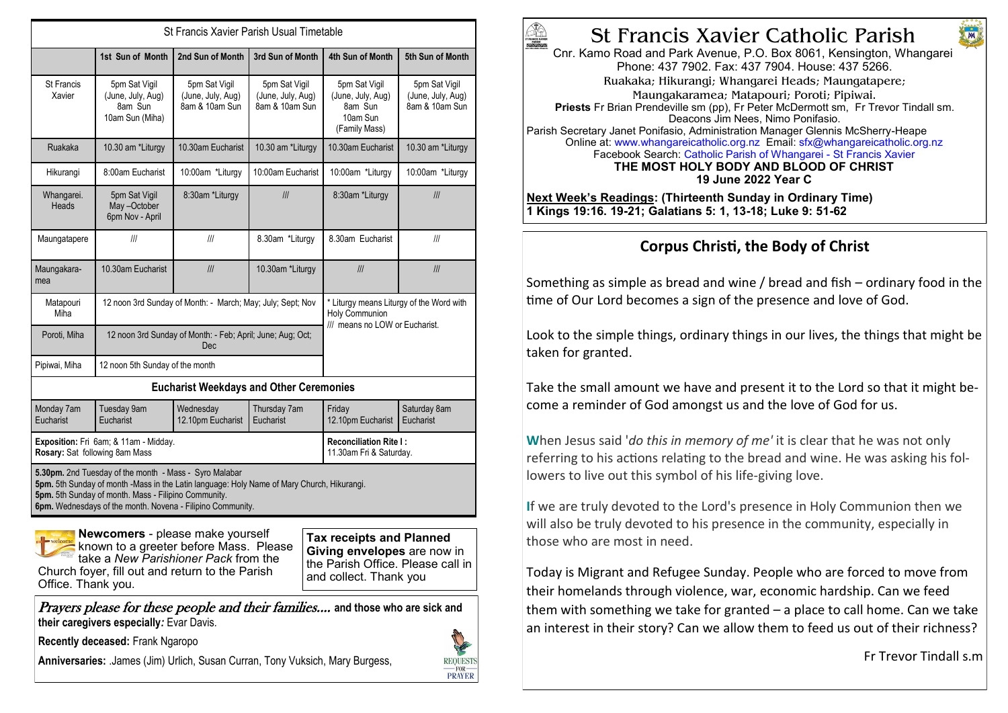| St Francis Xavier Parish Usual Timetable                                                                                                                                                                                                                                          |                                                                   |                                                      |                                                      |                                                                                              |                                                      |
|-----------------------------------------------------------------------------------------------------------------------------------------------------------------------------------------------------------------------------------------------------------------------------------|-------------------------------------------------------------------|------------------------------------------------------|------------------------------------------------------|----------------------------------------------------------------------------------------------|------------------------------------------------------|
|                                                                                                                                                                                                                                                                                   | 1st Sun of Month                                                  | 2nd Sun of Month                                     | 3rd Sun of Month                                     | 4th Sun of Month                                                                             | 5th Sun of Month                                     |
| St Francis<br>Xavier                                                                                                                                                                                                                                                              | 5pm Sat Vigil<br>(June, July, Aug)<br>8am Sun<br>10am Sun (Miha)  | 5pm Sat Vigil<br>(June, July, Aug)<br>8am & 10am Sun | 5pm Sat Vigil<br>(June, July, Aug)<br>8am & 10am Sun | 5pm Sat Vigil<br>(June, July, Aug)<br>8am Sun<br>10am Sun<br>(Family Mass)                   | 5pm Sat Vigil<br>(June, July, Aug)<br>8am & 10am Sun |
| Ruakaka                                                                                                                                                                                                                                                                           | 10.30 am *Liturgy                                                 | 10.30am Eucharist                                    | 10.30 am *Liturgy                                    | 10.30am Eucharist                                                                            | 10.30 am *Liturgy                                    |
| Hikurangi                                                                                                                                                                                                                                                                         | 8:00am Eucharist                                                  | 10:00am *Liturgy                                     | 10:00am Eucharist                                    | 10:00am *Liturgy                                                                             | 10:00am *Liturgy                                     |
| Whangarei.<br>Heads                                                                                                                                                                                                                                                               | 5pm Sat Vigil<br>May-October<br>6pm Nov - April                   | 8:30am *Liturgy                                      | III                                                  | 8:30am *Liturgy                                                                              | III                                                  |
| Maungatapere                                                                                                                                                                                                                                                                      | III                                                               | III                                                  | 8.30am *Liturgy                                      | 8.30am Eucharist                                                                             | III                                                  |
| Maungakara-<br>mea                                                                                                                                                                                                                                                                | 10.30am Eucharist                                                 | III                                                  | 10.30am *Liturgy                                     | III                                                                                          | III                                                  |
| Matapouri<br>Miha                                                                                                                                                                                                                                                                 | 12 noon 3rd Sunday of Month: - March; May; July; Sept; Nov        |                                                      |                                                      | * Liturgy means Liturgy of the Word with<br>Holy Communion<br>/// means no LOW or Eucharist. |                                                      |
| Poroti, Miha                                                                                                                                                                                                                                                                      | 12 noon 3rd Sunday of Month: - Feb; April; June; Aug; Oct;<br>Dec |                                                      |                                                      |                                                                                              |                                                      |
| Pipiwai, Miha                                                                                                                                                                                                                                                                     | 12 noon 5th Sunday of the month                                   |                                                      |                                                      |                                                                                              |                                                      |
| <b>Eucharist Weekdays and Other Ceremonies</b>                                                                                                                                                                                                                                    |                                                                   |                                                      |                                                      |                                                                                              |                                                      |
| Monday 7am<br>Eucharist                                                                                                                                                                                                                                                           | Tuesday 9am<br>Eucharist                                          | Wednesday<br>12.10pm Eucharist                       | Thursday 7am<br>Eucharist                            | Friday<br>12.10pm Eucharist                                                                  | Saturday 8am<br>Eucharist                            |
| Exposition: Fri 6am; & 11am - Midday.<br>Rosary: Sat following 8am Mass                                                                                                                                                                                                           |                                                                   |                                                      |                                                      | <b>Reconciliation Rite I:</b><br>11.30am Fri & Saturday.                                     |                                                      |
| 5.30pm. 2nd Tuesday of the month - Mass - Syro Malabar<br>5pm. 5th Sunday of month -Mass in the Latin language: Holy Name of Mary Church, Hikurangi.<br>5pm. 5th Sunday of month. Mass - Filipino Community.<br><b>6pm.</b> Wednesdays of the month. Novena - Filipino Community. |                                                                   |                                                      |                                                      |                                                                                              |                                                      |

**Newcomers** - please make yourself known to a greeter before Mass. Please take a *New Parishioner Pack* from the Church foyer, fill out and return to the Parish Office. Thank you.

**Tax receipts and Planned Giving envelopes** are now in the Parish Office. Please call in and collect. Thank you

Prayers please for these people and their families.... **and those who are sick and their caregivers especially***:* Evar Davis*.* 

**Recently deceased:** Frank Ngaropo

**Anniversaries:** .James (Jim) Urlich, Susan Curran, Tony Vuksich, Mary Burgess,



# St Francis Xavier Catholic Parish

Cnr. Kamo Road and Park Avenue, P.O. Box 8061, Kensington, Whangarei Phone: 437 7902. Fax: 437 7904. House: 437 5266. Ruakaka; Hikurangi; Whangarei Heads; Maungatapere; Maungakaramea; Matapouri; Poroti; Pipiwai. **Priests** Fr Brian Prendeville sm (pp), Fr Peter McDermott sm, Fr Trevor Tindall sm. Deacons Jim Nees, Nimo Ponifasio. Parish Secretary Janet Ponifasio, Administration Manager Glennis McSherry-Heape Online at: www.whangareicatholic.org.nz Email: sfx@whangareicatholic.org.nz Facebook Search: Catholic Parish of Whangarei - St Francis Xavier **THE MOST HOLY BODY AND BLOOD OF CHRIST 19 June 2022 Year C**

**Next Week's Readings: (Thirteenth Sunday in Ordinary Time) 1 Kings 19:16. 19-21; Galatians 5: 1, 13-18; Luke 9: 51-62**

## **Corpus Christi, the Body of Christ**

Something as simple as bread and wine / bread and fish – ordinary food in the time of Our Lord becomes a sign of the presence and love of God.

Look to the simple things, ordinary things in our lives, the things that might be taken for granted.

Take the small amount we have and present it to the Lord so that it might become a reminder of God amongst us and the love of God for us.

**W**hen Jesus said '*do this in memory of me'* it is clear that he was not only referring to his actions relating to the bread and wine. He was asking his followers to live out this symbol of his life-giving love.

**I**f we are truly devoted to the Lord's presence in Holy Communion then we will also be truly devoted to his presence in the community, especially in those who are most in need.

Today is Migrant and Refugee Sunday. People who are forced to move from their homelands through violence, war, economic hardship. Can we feed them with something we take for granted – a place to call home. Can we take an interest in their story? Can we allow them to feed us out of their richness?

Fr Trevor Tindall s.m